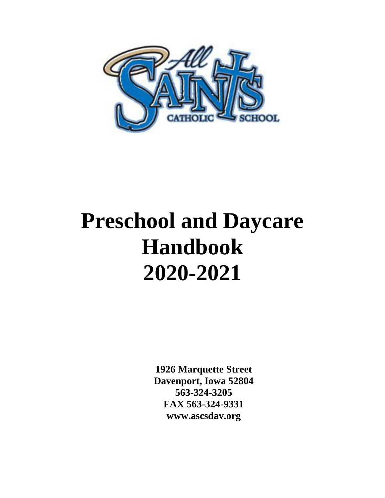

# **Preschool and Daycare Handbook 2020-2021**

**1926 Marquette Street Davenport, Iowa 52804 563-324-3205 FAX 563-324-9331 www.ascsdav.org**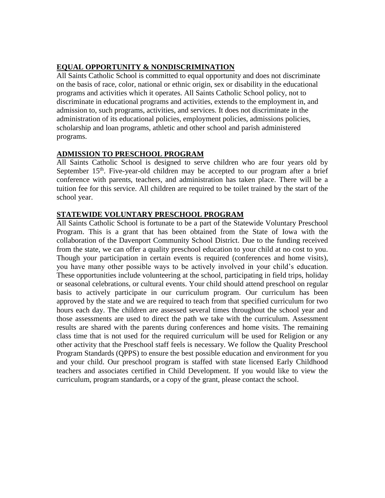# **EQUAL OPPORTUNITY & NONDISCRIMINATION**

All Saints Catholic School is committed to equal opportunity and does not discriminate on the basis of race, color, national or ethnic origin, sex or disability in the educational programs and activities which it operates. All Saints Catholic School policy, not to discriminate in educational programs and activities, extends to the employment in, and admission to, such programs, activities, and services. It does not discriminate in the administration of its educational policies, employment policies, admissions policies, scholarship and loan programs, athletic and other school and parish administered programs.

# **ADMISSION TO PRESCHOOL PROGRAM**

All Saints Catholic School is designed to serve children who are four years old by September  $15<sup>th</sup>$ . Five-year-old children may be accepted to our program after a brief conference with parents, teachers, and administration has taken place. There will be a tuition fee for this service. All children are required to be toilet trained by the start of the school year.

# **STATEWIDE VOLUNTARY PRESCHOOL PROGRAM**

All Saints Catholic School is fortunate to be a part of the Statewide Voluntary Preschool Program. This is a grant that has been obtained from the State of Iowa with the collaboration of the Davenport Community School District. Due to the funding received from the state, we can offer a quality preschool education to your child at no cost to you. Though your participation in certain events is required (conferences and home visits), you have many other possible ways to be actively involved in your child's education. These opportunities include volunteering at the school, participating in field trips, holiday or seasonal celebrations, or cultural events. Your child should attend preschool on regular basis to actively participate in our curriculum program. Our curriculum has been approved by the state and we are required to teach from that specified curriculum for two hours each day. The children are assessed several times throughout the school year and those assessments are used to direct the path we take with the curriculum. Assessment results are shared with the parents during conferences and home visits. The remaining class time that is not used for the required curriculum will be used for Religion or any other activity that the Preschool staff feels is necessary. We follow the Quality Preschool Program Standards (QPPS) to ensure the best possible education and environment for you and your child. Our preschool program is staffed with state licensed Early Childhood teachers and associates certified in Child Development. If you would like to view the curriculum, program standards, or a copy of the grant, please contact the school.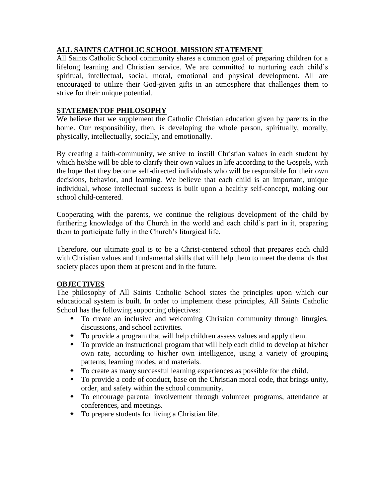# **ALL SAINTS CATHOLIC SCHOOL MISSION STATEMENT**

All Saints Catholic School community shares a common goal of preparing children for a lifelong learning and Christian service. We are committed to nurturing each child's spiritual, intellectual, social, moral, emotional and physical development. All are encouraged to utilize their God-given gifts in an atmosphere that challenges them to strive for their unique potential.

# **STATEMENTOF PHILOSOPHY**

We believe that we supplement the Catholic Christian education given by parents in the home. Our responsibility, then, is developing the whole person, spiritually, morally, physically, intellectually, socially, and emotionally.

By creating a faith-community, we strive to instill Christian values in each student by which he/she will be able to clarify their own values in life according to the Gospels, with the hope that they become self-directed individuals who will be responsible for their own decisions, behavior, and learning. We believe that each child is an important, unique individual, whose intellectual success is built upon a healthy self-concept, making our school child-centered.

Cooperating with the parents, we continue the religious development of the child by furthering knowledge of the Church in the world and each child's part in it, preparing them to participate fully in the Church's liturgical life.

Therefore, our ultimate goal is to be a Christ-centered school that prepares each child with Christian values and fundamental skills that will help them to meet the demands that society places upon them at present and in the future.

## **OBJECTIVES**

The philosophy of All Saints Catholic School states the principles upon which our educational system is built. In order to implement these principles, All Saints Catholic School has the following supporting objectives:

- To create an inclusive and welcoming Christian community through liturgies, discussions, and school activities.
- To provide a program that will help children assess values and apply them.
- To provide an instructional program that will help each child to develop at his/her own rate, according to his/her own intelligence, using a variety of grouping patterns, learning modes, and materials.
- To create as many successful learning experiences as possible for the child.
- To provide a code of conduct, base on the Christian moral code, that brings unity, order, and safety within the school community.
- To encourage parental involvement through volunteer programs, attendance at conferences, and meetings.
- To prepare students for living a Christian life.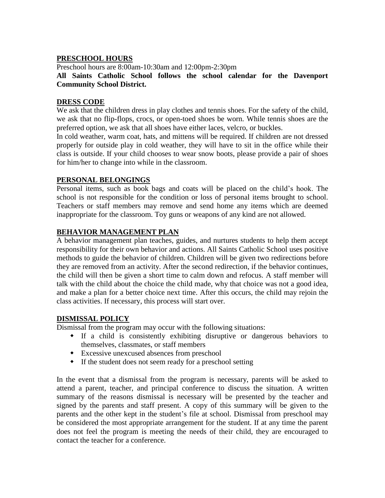## **PRESCHOOL HOURS**

Preschool hours are 8:00am-10:30am and 12:00pm-2:30pm

## **All Saints Catholic School follows the school calendar for the Davenport Community School District.**

#### **DRESS CODE**

We ask that the children dress in play clothes and tennis shoes. For the safety of the child, we ask that no flip-flops, crocs, or open-toed shoes be worn. While tennis shoes are the preferred option, we ask that all shoes have either laces, velcro, or buckles.

In cold weather, warm coat, hats, and mittens will be required. If children are not dressed properly for outside play in cold weather, they will have to sit in the office while their class is outside. If your child chooses to wear snow boots, please provide a pair of shoes for him/her to change into while in the classroom.

#### **PERSONAL BELONGINGS**

Personal items, such as book bags and coats will be placed on the child's hook. The school is not responsible for the condition or loss of personal items brought to school. Teachers or staff members may remove and send home any items which are deemed inappropriate for the classroom. Toy guns or weapons of any kind are not allowed.

## **BEHAVIOR MANAGEMENT PLAN**

A behavior management plan teaches, guides, and nurtures students to help them accept responsibility for their own behavior and actions. All Saints Catholic School uses positive methods to guide the behavior of children. Children will be given two redirections before they are removed from an activity. After the second redirection, if the behavior continues, the child will then be given a short time to calm down and refocus. A staff member will talk with the child about the choice the child made, why that choice was not a good idea, and make a plan for a better choice next time. After this occurs, the child may rejoin the class activities. If necessary, this process will start over.

## **DISMISSAL POLICY**

Dismissal from the program may occur with the following situations:

- If a child is consistently exhibiting disruptive or dangerous behaviors to themselves, classmates, or staff members
- Excessive unexcused absences from preschool
- If the student does not seem ready for a preschool setting

In the event that a dismissal from the program is necessary, parents will be asked to attend a parent, teacher, and principal conference to discuss the situation. A written summary of the reasons dismissal is necessary will be presented by the teacher and signed by the parents and staff present. A copy of this summary will be given to the parents and the other kept in the student's file at school. Dismissal from preschool may be considered the most appropriate arrangement for the student. If at any time the parent does not feel the program is meeting the needs of their child, they are encouraged to contact the teacher for a conference.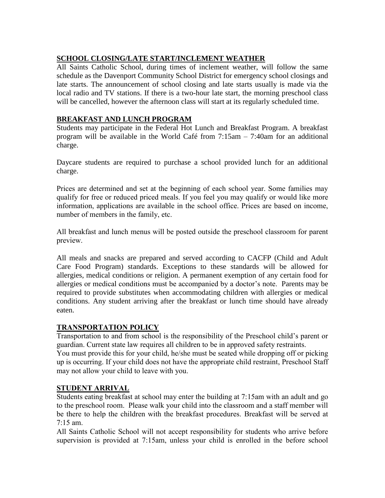# **SCHOOL CLOSING/LATE START/INCLEMENT WEATHER**

All Saints Catholic School, during times of inclement weather, will follow the same schedule as the Davenport Community School District for emergency school closings and late starts. The announcement of school closing and late starts usually is made via the local radio and TV stations. If there is a two-hour late start, the morning preschool class will be cancelled, however the afternoon class will start at its regularly scheduled time.

# **BREAKFAST AND LUNCH PROGRAM**

Students may participate in the Federal Hot Lunch and Breakfast Program. A breakfast program will be available in the World Café from 7:15am – 7:40am for an additional charge.

Daycare students are required to purchase a school provided lunch for an additional charge.

Prices are determined and set at the beginning of each school year. Some families may qualify for free or reduced priced meals. If you feel you may qualify or would like more information, applications are available in the school office. Prices are based on income, number of members in the family, etc.

All breakfast and lunch menus will be posted outside the preschool classroom for parent preview.

All meals and snacks are prepared and served according to CACFP (Child and Adult Care Food Program) standards. Exceptions to these standards will be allowed for allergies, medical conditions or religion. A permanent exemption of any certain food for allergies or medical conditions must be accompanied by a doctor's note. Parents may be required to provide substitutes when accommodating children with allergies or medical conditions. Any student arriving after the breakfast or lunch time should have already eaten.

## **TRANSPORTATION POLICY**

Transportation to and from school is the responsibility of the Preschool child's parent or guardian. Current state law requires all children to be in approved safety restraints.

You must provide this for your child, he/she must be seated while dropping off or picking up is occurring. If your child does not have the appropriate child restraint, Preschool Staff may not allow your child to leave with you.

## **STUDENT ARRIVAL**

Students eating breakfast at school may enter the building at 7:15am with an adult and go to the preschool room. Please walk your child into the classroom and a staff member will be there to help the children with the breakfast procedures. Breakfast will be served at 7:15 am.

All Saints Catholic School will not accept responsibility for students who arrive before supervision is provided at 7:15am, unless your child is enrolled in the before school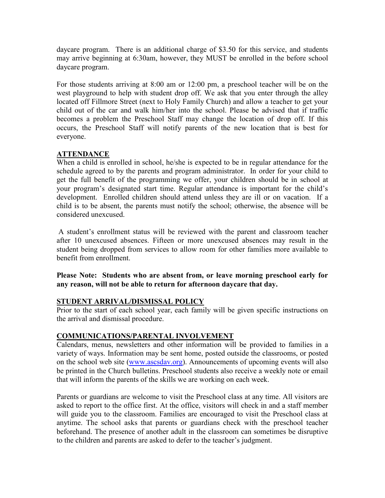daycare program. There is an additional charge of \$3.50 for this service, and students may arrive beginning at 6:30am, however, they MUST be enrolled in the before school daycare program.

For those students arriving at 8:00 am or 12:00 pm, a preschool teacher will be on the west playground to help with student drop off. We ask that you enter through the alley located off Fillmore Street (next to Holy Family Church) and allow a teacher to get your child out of the car and walk him/her into the school. Please be advised that if traffic becomes a problem the Preschool Staff may change the location of drop off. If this occurs, the Preschool Staff will notify parents of the new location that is best for everyone.

## **ATTENDANCE**

When a child is enrolled in school, he/she is expected to be in regular attendance for the schedule agreed to by the parents and program administrator. In order for your child to get the full benefit of the programming we offer, your children should be in school at your program's designated start time. Regular attendance is important for the child's development. Enrolled children should attend unless they are ill or on vacation. If a child is to be absent, the parents must notify the school; otherwise, the absence will be considered unexcused.

A student's enrollment status will be reviewed with the parent and classroom teacher after 10 unexcused absences. Fifteen or more unexcused absences may result in the student being dropped from services to allow room for other families more available to benefit from enrollment.

**Please Note: Students who are absent from, or leave morning preschool early for any reason, will not be able to return for afternoon daycare that day.**

## **STUDENT ARRIVAL/DISMISSAL POLICY**

Prior to the start of each school year, each family will be given specific instructions on the arrival and dismissal procedure.

## **COMMUNICATIONS/PARENTAL INVOLVEMENT**

Calendars, menus, newsletters and other information will be provided to families in a variety of ways. Information may be sent home, posted outside the classrooms, or posted on the school web site [\(www.ascsdav.org\)](http://www.ascsdav.org/). Announcements of upcoming events will also be printed in the Church bulletins. Preschool students also receive a weekly note or email that will inform the parents of the skills we are working on each week.

Parents or guardians are welcome to visit the Preschool class at any time. All visitors are asked to report to the office first. At the office, visitors will check in and a staff member will guide you to the classroom. Families are encouraged to visit the Preschool class at anytime. The school asks that parents or guardians check with the preschool teacher beforehand. The presence of another adult in the classroom can sometimes be disruptive to the children and parents are asked to defer to the teacher's judgment.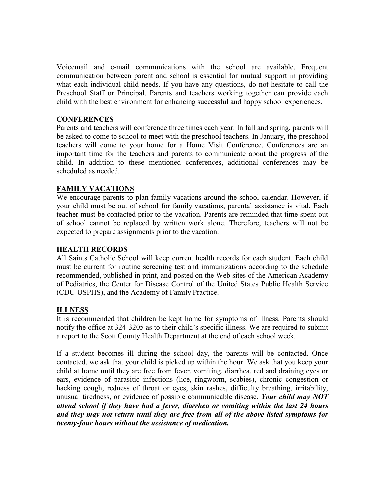Voicemail and e-mail communications with the school are available. Frequent communication between parent and school is essential for mutual support in providing what each individual child needs. If you have any questions, do not hesitate to call the Preschool Staff or Principal. Parents and teachers working together can provide each child with the best environment for enhancing successful and happy school experiences.

#### **CONFERENCES**

Parents and teachers will conference three times each year. In fall and spring, parents will be asked to come to school to meet with the preschool teachers. In January, the preschool teachers will come to your home for a Home Visit Conference. Conferences are an important time for the teachers and parents to communicate about the progress of the child. In addition to these mentioned conferences, additional conferences may be scheduled as needed.

#### **FAMILY VACATIONS**

We encourage parents to plan family vacations around the school calendar. However, if your child must be out of school for family vacations, parental assistance is vital. Each teacher must be contacted prior to the vacation. Parents are reminded that time spent out of school cannot be replaced by written work alone. Therefore, teachers will not be expected to prepare assignments prior to the vacation.

#### **HEALTH RECORDS**

All Saints Catholic School will keep current health records for each student. Each child must be current for routine screening test and immunizations according to the schedule recommended, published in print, and posted on the Web sites of the American Academy of Pediatrics, the Center for Disease Control of the United States Public Health Service (CDC-USPHS), and the Academy of Family Practice.

#### **ILLNESS**

It is recommended that children be kept home for symptoms of illness. Parents should notify the office at 324-3205 as to their child's specific illness. We are required to submit a report to the Scott County Health Department at the end of each school week.

If a student becomes ill during the school day, the parents will be contacted. Once contacted, we ask that your child is picked up within the hour. We ask that you keep your child at home until they are free from fever, vomiting, diarrhea, red and draining eyes or ears, evidence of parasitic infections (lice, ringworm, scabies), chronic congestion or hacking cough, redness of throat or eyes, skin rashes, difficulty breathing, irritability, unusual tiredness, or evidence of possible communicable disease. *Your child may NOT attend school if they have had a fever, diarrhea or vomiting within the last 24 hours and they may not return until they are free from all of the above listed symptoms for twenty-four hours without the assistance of medication.*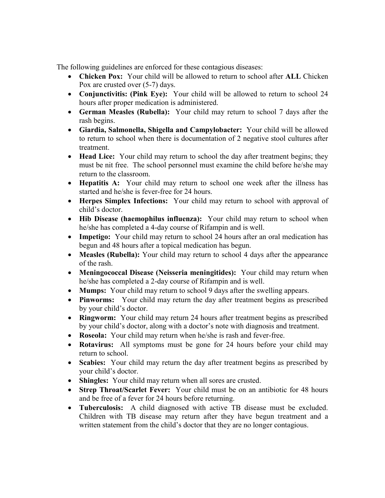The following guidelines are enforced for these contagious diseases:

- **Chicken Pox:** Your child will be allowed to return to school after **ALL** Chicken Pox are crusted over (5-7) days.
- **Conjunctivitis: (Pink Eye):** Your child will be allowed to return to school 24 hours after proper medication is administered.
- **German Measles (Rubella):** Your child may return to school 7 days after the rash begins.
- **Giardia, Salmonella, Shigella and Campylobacter:** Your child will be allowed to return to school when there is documentation of 2 negative stool cultures after treatment.
- **Head Lice:** Your child may return to school the day after treatment begins; they must be nit free. The school personnel must examine the child before he/she may return to the classroom.
- **Hepatitis A:** Your child may return to school one week after the illness has started and he/she is fever-free for 24 hours.
- **Herpes Simplex Infections:** Your child may return to school with approval of child's doctor.
- **Hib Disease (haemophilus influenza):** Your child may return to school when he/she has completed a 4-day course of Rifampin and is well.
- **Impetigo:** Your child may return to school 24 hours after an oral medication has begun and 48 hours after a topical medication has begun.
- **Measles (Rubella):** Your child may return to school 4 days after the appearance of the rash.
- **Meningococcal Disease (Neisseria meningitides):** Your child may return when he/she has completed a 2-day course of Rifampin and is well.
- **Mumps:** Your child may return to school 9 days after the swelling appears.
- **Pinworms:** Your child may return the day after treatment begins as prescribed by your child's doctor.
- **Ringworm:** Your child may return 24 hours after treatment begins as prescribed by your child's doctor, along with a doctor's note with diagnosis and treatment.
- **Roseola:** Your child may return when he/she is rash and fever-free.
- **Rotavirus:** All symptoms must be gone for 24 hours before your child may return to school.
- **Scabies:** Your child may return the day after treatment begins as prescribed by your child's doctor.
- **Shingles:** Your child may return when all sores are crusted.
- **Strep Throat/Scarlet Fever:** Your child must be on an antibiotic for 48 hours and be free of a fever for 24 hours before returning.
- **Tuberculosis:** A child diagnosed with active TB disease must be excluded. Children with TB disease may return after they have begun treatment and a written statement from the child's doctor that they are no longer contagious.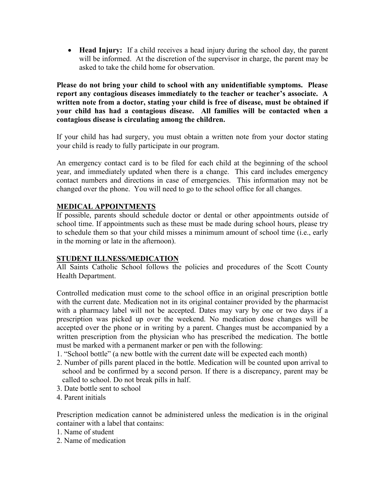**Head Injury:** If a child receives a head injury during the school day, the parent will be informed. At the discretion of the supervisor in charge, the parent may be asked to take the child home for observation.

**Please do not bring your child to school with any unidentifiable symptoms. Please report any contagious diseases immediately to the teacher or teacher's associate. A written note from a doctor, stating your child is free of disease, must be obtained if your child has had a contagious disease. All families will be contacted when a contagious disease is circulating among the children.**

If your child has had surgery, you must obtain a written note from your doctor stating your child is ready to fully participate in our program.

An emergency contact card is to be filed for each child at the beginning of the school year, and immediately updated when there is a change. This card includes emergency contact numbers and directions in case of emergencies. This information may not be changed over the phone. You will need to go to the school office for all changes.

#### **MEDICAL APPOINTMENTS**

If possible, parents should schedule doctor or dental or other appointments outside of school time. If appointments such as these must be made during school hours, please try to schedule them so that your child misses a minimum amount of school time (i.e., early in the morning or late in the afternoon).

## **STUDENT ILLNESS/MEDICATION**

All Saints Catholic School follows the policies and procedures of the Scott County Health Department.

Controlled medication must come to the school office in an original prescription bottle with the current date. Medication not in its original container provided by the pharmacist with a pharmacy label will not be accepted. Dates may vary by one or two days if a prescription was picked up over the weekend. No medication dose changes will be accepted over the phone or in writing by a parent. Changes must be accompanied by a written prescription from the physician who has prescribed the medication. The bottle must be marked with a permanent marker or pen with the following:

- 1. "School bottle" (a new bottle with the current date will be expected each month)
- 2. Number of pills parent placed in the bottle. Medication will be counted upon arrival to school and be confirmed by a second person. If there is a discrepancy, parent may be called to school. Do not break pills in half.
- 3. Date bottle sent to school
- 4. Parent initials

Prescription medication cannot be administered unless the medication is in the original container with a label that contains:

- 1. Name of student
- 2. Name of medication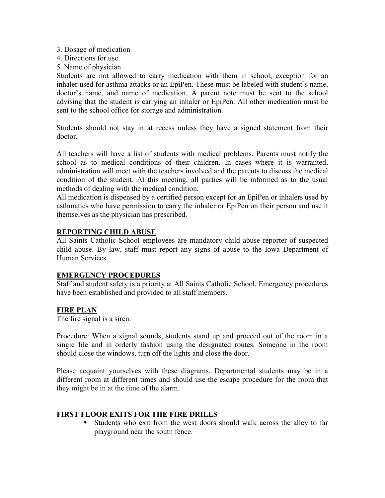- 3. Dosage of medication
- 4. Directions for use
- 5. Name of physician

Students are not allowed to carry medication with them in school, exception for an inhaler used for asthma attacks or an EpiPen. These must be labeled with student's name, doctor's name, and name of medication. A parent note must be sent to the school advising that the student is carrying an inhaler or EpiPen. All other medication must be sent to the school office for storage and administration.

Students should not stay in at recess unless they have a signed statement from their doctor.

All teachers will have a list of students with medical problems. Parents must notify the school as to medical conditions of their children. In cases where it is warranted, administration will meet with the teachers involved and the parents to discuss the medical condition of the student. At this meeting, all parties will be informed as to the usual methods of dealing with the medical condition.

All medication is dispensed by a certified person except for an EpiPen or inhalers used by asthmatics who have permission to carry the inhaler or EpiPen on their person and use it themselves as the physician has prescribed.

#### **REPORTING CHILD ABUSE**

All Saints Catholic School employees are mandatory child abuse reporter of suspected child abuse. By law, staff must report any signs of abuse to the Iowa Department of Human Services.

#### **EMERGENCY PROCEDURES**

Staff and student safety is a priority at All Saints Catholic School. Emergency procedures have been established and provided to all staff members.

#### **FIRE PLAN**

The fire signal is a siren.

Procedure: When a signal sounds, students stand up and proceed out of the room in a single file and in orderly fashion using the designated routes. Someone in the room should close the windows, turn off the lights and close the door.

Please acquaint yourselves with these diagrams. Departmental students may be in a different room at different times and should use the escape procedure for the room that they might be in at the time of the alarm.

#### **FIRST FLOOR EXITS FOR THE FIRE DRILLS**

 Students who exit from the west doors should walk across the alley to far playground near the south fence.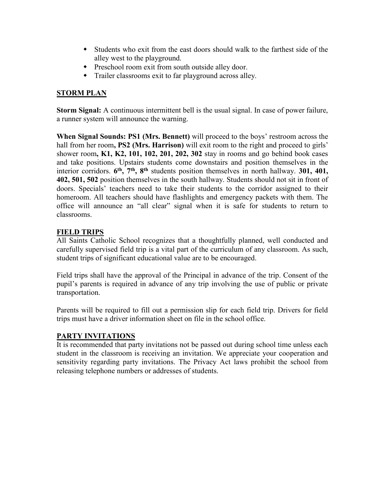- Students who exit from the east doors should walk to the farthest side of the alley west to the playground.
- Preschool room exit from south outside alley door.
- Trailer classrooms exit to far playground across alley.

# **STORM PLAN**

**Storm Signal:** A continuous intermittent bell is the usual signal. In case of power failure, a runner system will announce the warning.

**When Signal Sounds: PS1 (Mrs. Bennett)** will proceed to the boys' restroom across the hall from her room**, PS2 (Mrs. Harrison)** will exit room to the right and proceed to girls' shower room**, K1, K2, 101, 102, 201, 202, 302** stay in rooms and go behind book cases and take positions. Upstairs students come downstairs and position themselves in the interior corridors. **6 th, 7th, 8th** students position themselves in north hallway. **301, 401, 402, 501, 502** position themselves in the south hallway. Students should not sit in front of doors. Specials' teachers need to take their students to the corridor assigned to their homeroom. All teachers should have flashlights and emergency packets with them. The office will announce an "all clear" signal when it is safe for students to return to classrooms.

## **FIELD TRIPS**

All Saints Catholic School recognizes that a thoughtfully planned, well conducted and carefully supervised field trip is a vital part of the curriculum of any classroom. As such, student trips of significant educational value are to be encouraged.

Field trips shall have the approval of the Principal in advance of the trip. Consent of the pupil's parents is required in advance of any trip involving the use of public or private transportation.

Parents will be required to fill out a permission slip for each field trip. Drivers for field trips must have a driver information sheet on file in the school office.

## **PARTY INVITATIONS**

It is recommended that party invitations not be passed out during school time unless each student in the classroom is receiving an invitation. We appreciate your cooperation and sensitivity regarding party invitations. The Privacy Act laws prohibit the school from releasing telephone numbers or addresses of students.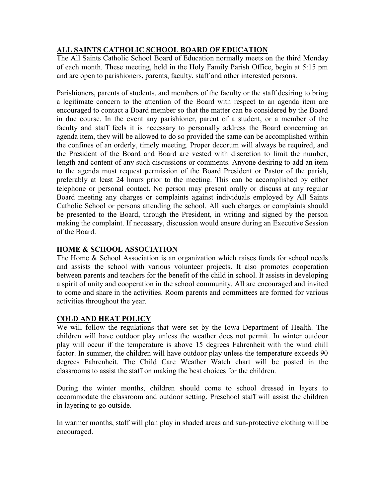# **ALL SAINTS CATHOLIC SCHOOL BOARD OF EDUCATION**

The All Saints Catholic School Board of Education normally meets on the third Monday of each month. These meeting, held in the Holy Family Parish Office, begin at 5:15 pm and are open to parishioners, parents, faculty, staff and other interested persons.

Parishioners, parents of students, and members of the faculty or the staff desiring to bring a legitimate concern to the attention of the Board with respect to an agenda item are encouraged to contact a Board member so that the matter can be considered by the Board in due course. In the event any parishioner, parent of a student, or a member of the faculty and staff feels it is necessary to personally address the Board concerning an agenda item, they will be allowed to do so provided the same can be accomplished within the confines of an orderly, timely meeting. Proper decorum will always be required, and the President of the Board and Board are vested with discretion to limit the number, length and content of any such discussions or comments. Anyone desiring to add an item to the agenda must request permission of the Board President or Pastor of the parish, preferably at least 24 hours prior to the meeting. This can be accomplished by either telephone or personal contact. No person may present orally or discuss at any regular Board meeting any charges or complaints against individuals employed by All Saints Catholic School or persons attending the school. All such charges or complaints should be presented to the Board, through the President, in writing and signed by the person making the complaint. If necessary, discussion would ensure during an Executive Session of the Board.

# **HOME & SCHOOL ASSOCIATION**

The Home & School Association is an organization which raises funds for school needs and assists the school with various volunteer projects. It also promotes cooperation between parents and teachers for the benefit of the child in school. It assists in developing a spirit of unity and cooperation in the school community. All are encouraged and invited to come and share in the activities. Room parents and committees are formed for various activities throughout the year.

## **COLD AND HEAT POLICY**

We will follow the regulations that were set by the Iowa Department of Health. The children will have outdoor play unless the weather does not permit. In winter outdoor play will occur if the temperature is above 15 degrees Fahrenheit with the wind chill factor. In summer, the children will have outdoor play unless the temperature exceeds 90 degrees Fahrenheit. The Child Care Weather Watch chart will be posted in the classrooms to assist the staff on making the best choices for the children.

During the winter months, children should come to school dressed in layers to accommodate the classroom and outdoor setting. Preschool staff will assist the children in layering to go outside.

In warmer months, staff will plan play in shaded areas and sun-protective clothing will be encouraged.